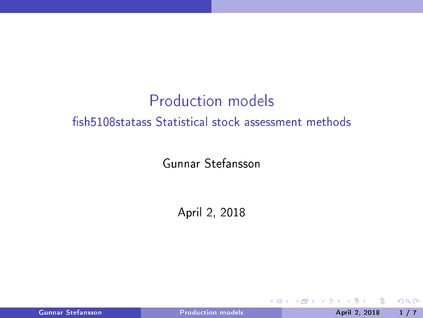# Production models fish 5108 statass Statistical stock assessment methods

Gunnar Stefansson

April 2, 2018

4 0 8

Gunnar Stefansson **April 2, 2018** 1 / 7

<span id="page-0-0"></span> $299$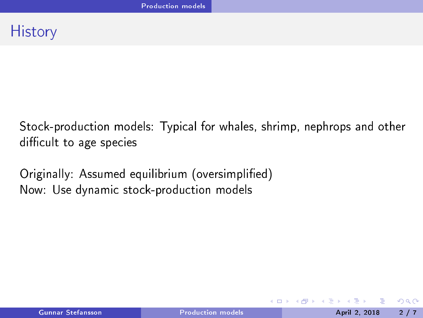## **History**

Stock-production models: Typical for whales, shrimp, nephrops and other difficult to age species

Originally: Assumed equilibrium (oversimplified) Now: Use dynamic stock-production models

<span id="page-1-0"></span>4 0 8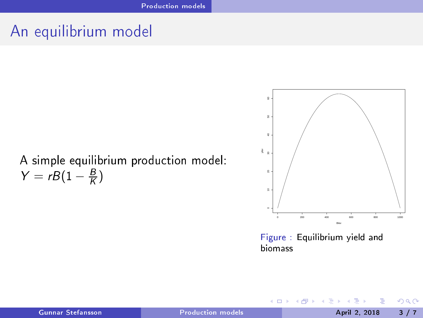### An equilibrium model

#### A simple equilibrium production model:  $Y = rB(1 - \frac{B}{K})$



Figure : Equilibrium yield and biomass

 $\mathbf{p}_i$ -4 B  $\rightarrow$ 

**◆ ロ ▶ → イ 冊** 

э

<span id="page-2-0"></span> $299$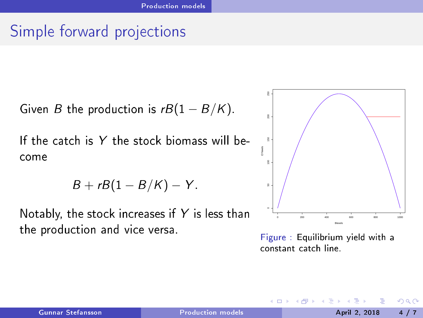# Simple forward proje
tions

Given B the production is  $rB(1 - B/K)$ .

If the catch is  $Y$  the stock biomass will become

$$
B + rB(1 - B/K) - Y.
$$

Notably, the stock increases if  $Y$  is less than the production and vice versa.



Figure : Equilibrium yield with <sup>a</sup> constant catch line

4 0 1

<span id="page-3-0"></span> $\Omega$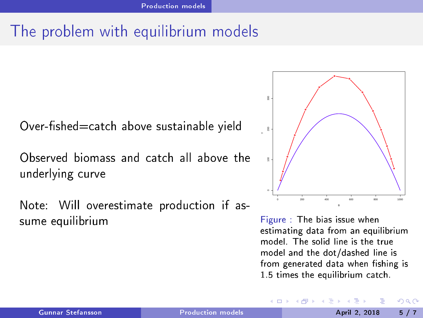# The problem with equilibrium models

Over-fished=catch above sustainable yield

Observed biomass and catch all above the underlying urve

Note: Will overestimate production if assume equilibrium



Figure : The bias issue when estimating data from an equilibrium model. The solid line is the true model and the dot/dashed line is from generated data when fishing is 1.5 times the equilibrium catch.

<span id="page-4-0"></span>4 0 8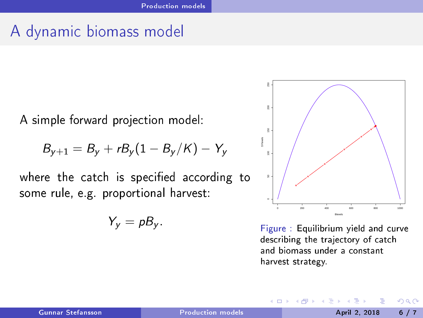### A dynami biomass model

A simple forward projection model:

$$
B_{y+1}=B_y+rB_y(1-B_y/K)-Y_y
$$

where the catch is specified according to some rule, e.g. proportional harvest:

$$
Y_y = pB_y.
$$



Figure: Equilibrium yield and curve describing the trajectory of catch and biomass under a constant harvest strategy.

<span id="page-5-0"></span>4 0 8